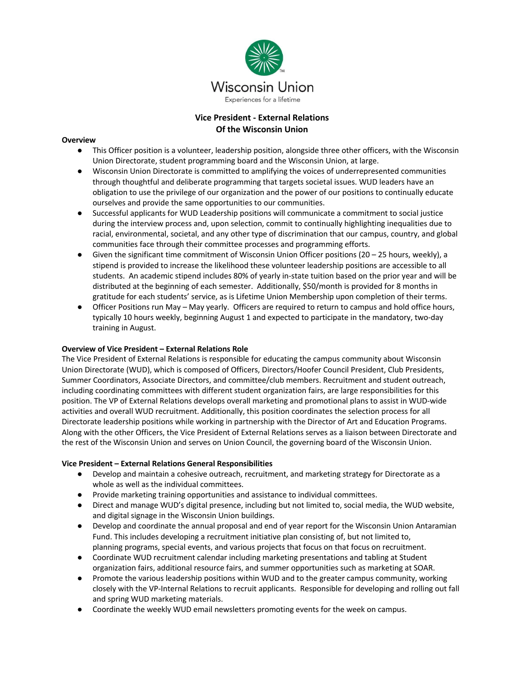

# **Vice President - External Relations Of the Wisconsin Union**

#### **Overview**

- This Officer position is a volunteer, leadership position, alongside three other officers, with the Wisconsin Union Directorate, student programming board and the Wisconsin Union, at large.
- Wisconsin Union Directorate is committed to amplifying the voices of underrepresented communities through thoughtful and deliberate programming that targets societal issues. WUD leaders have an obligation to use the privilege of our organization and the power of our positions to continually educate ourselves and provide the same opportunities to our communities.
- Successful applicants for WUD Leadership positions will communicate a commitment to social justice during the interview process and, upon selection, commit to continually highlighting inequalities due to racial, environmental, societal, and any other type of discrimination that our campus, country, and global communities face through their committee processes and programming efforts.
- Given the significant time commitment of Wisconsin Union Officer positions (20 25 hours, weekly), a stipend is provided to increase the likelihood these volunteer leadership positions are accessible to all students. An academic stipend includes 80% of yearly in-state tuition based on the prior year and will be distributed at the beginning of each semester. Additionally, \$50/month is provided for 8 months in gratitude for each students' service, as is Lifetime Union Membership upon completion of their terms.
- Officer Positions run May May yearly. Officers are required to return to campus and hold office hours, typically 10 hours weekly, beginning August 1 and expected to participate in the mandatory, two-day training in August.

### **Overview of Vice President – External Relations Role**

The Vice President of External Relations is responsible for educating the campus community about Wisconsin Union Directorate (WUD), which is composed of Officers, Directors/Hoofer Council President, Club Presidents, Summer Coordinators, Associate Directors, and committee/club members. Recruitment and student outreach, including coordinating committees with different student organization fairs, are large responsibilities for this position. The VP of External Relations develops overall marketing and promotional plans to assist in WUD-wide activities and overall WUD recruitment. Additionally, this position coordinates the selection process for all Directorate leadership positions while working in partnership with the Director of Art and Education Programs. Along with the other Officers, the Vice President of External Relations serves as a liaison between Directorate and the rest of the Wisconsin Union and serves on Union Council, the governing board of the Wisconsin Union.

### **Vice President – External Relations General Responsibilities**

- Develop and maintain a cohesive outreach, recruitment, and marketing strategy for Directorate as a whole as well as the individual committees.
- Provide marketing training opportunities and assistance to individual committees.
- Direct and manage WUD's digital presence, including but not limited to, social media, the WUD website, and digital signage in the Wisconsin Union buildings.
- Develop and coordinate the annual proposal and end of year report for the Wisconsin Union Antaramian Fund. This includes developing a recruitment initiative plan consisting of, but not limited to, planning programs, special events, and various projects that focus on that focus on recruitment.
- Coordinate WUD recruitment calendar including marketing presentations and tabling at Student organization fairs, additional resource fairs, and summer opportunities such as marketing at SOAR.
- Promote the various leadership positions within WUD and to the greater campus community, working closely with the VP-Internal Relations to recruit applicants. Responsible for developing and rolling out fall and spring WUD marketing materials.
- Coordinate the weekly WUD email newsletters promoting events for the week on campus.